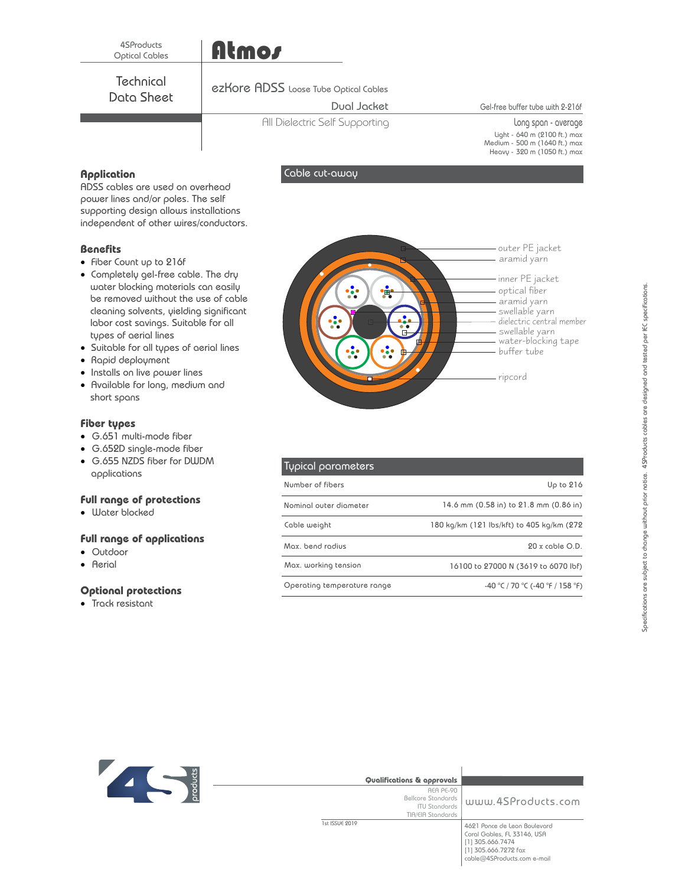## Atmos

**Technical** Data Sheet

#### ezKore ADSS Loose Tube Optical Cables

#### Dual Jacket

All Dielectric Self Supporting

Gel-free buffer tube with 2-216f

Long span - average Light - 640 m (2100 ft.) max Medium - 500 m (1640 ft.) max Heavy - 320 m (1050 ft.) max

#### **Application**

ADSS cables are used on overhead power lines and/or poles. The self supporting design allows installations independent of other wires/conductors.

#### **Benefits**

- Fiber Count up to 216f
- · Completely gel-free cable. The dry water blocking materials can easily be removed without the use of cable cleaning solvents, yielding significant labor cost savings. Suitable for all types of aerial lines
- · Suitable for all types of aerial lines
- · Rapid deployment
- · Installs on live power lines
- · Available for long, medium and short spans

#### **Fiber types**

- · G.651 multi-mode fiber
- · G.652D single-mode fiber
- · G.655 NZDS fiber for DWDM applications

#### **Full range of protections**

· Water blocked

#### **Full range of applications**

- · Outdoor
- · Aerial

#### **Optional protections**

· Track resistant



| Typical parameters          |                                           |
|-----------------------------|-------------------------------------------|
| Number of fibers            | Up to $216$                               |
| Nominal outer diameter      | 14.6 mm (0.58 in) to 21.8 mm (0.86 in)    |
| Cable weight                | 180 kg/km (121 lbs/kft) to 405 kg/km (272 |
| Mox bend rodius             | $20x$ coble $O.D.$                        |
| Max. working tension        | 16100 to 27000 N (3619 to 6070 lbf)       |
| Operating temperature range | $-40$ °C / 70 °C ( $-40$ °F / 158 °F)     |



| Qualifications & approvals                                                          |                                                                                                                                        |
|-------------------------------------------------------------------------------------|----------------------------------------------------------------------------------------------------------------------------------------|
| REA PE-90<br><b>Bellcore Standards</b><br><b>ITU Stondards</b><br>TIA/EIA Standards | www.4SProducts.com                                                                                                                     |
| 1st ISSUE 2019                                                                      | 4621 Ponce de Leon Boulevard<br>Coral Gables, FL 33146, USA<br>[1] 305.666.7474<br>[1] 305.666.7272 fax<br>cable@4SProducts.com e-mail |

Cable cut-away